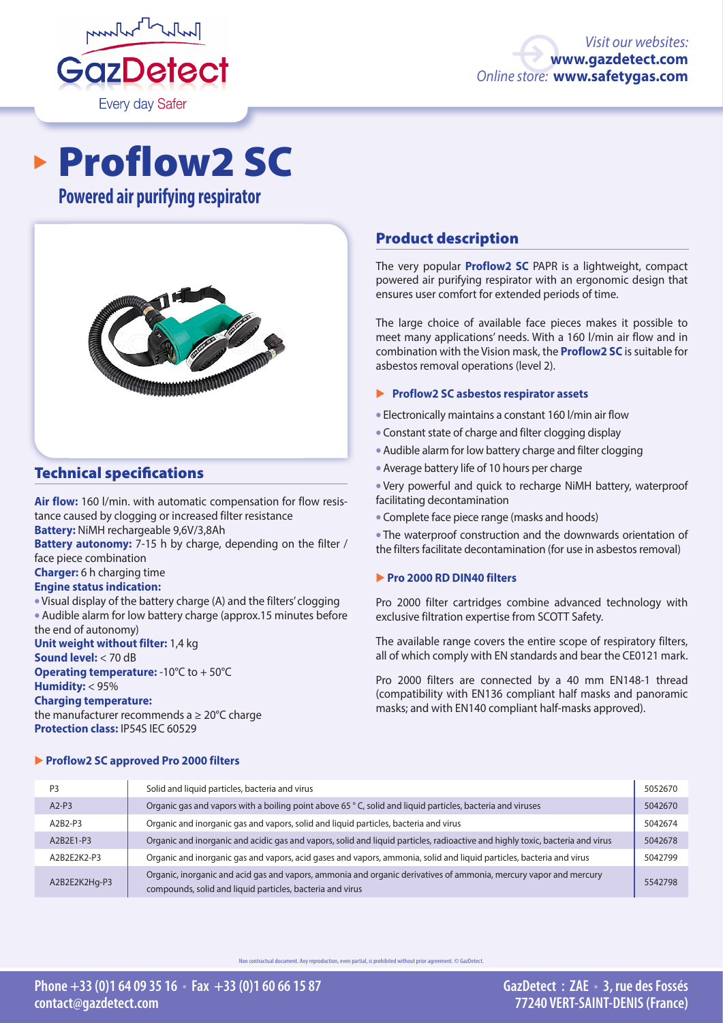

# Proflow2 SC

**Powered air purifying respirator**



#### Technical specifications

**Air flow:** 160 l/min. with automatic compensation for flow resistance caused by clogging or increased filter resistance **Battery:** NiMH rechargeable 9,6V/3,8Ah

**Battery autonomy:** 7-15 h by charge, depending on the filter / face piece combination

**Charger:** 6 h charging time

#### **Engine status indication:**

• Visual display of the battery charge (A) and the filters' clogging • Audible alarm for low battery charge (approx.15 minutes before the end of autonomy)

**Unit weight without filter:** 1,4 kg

#### **Sound level:** < 70 dB

**Operating temperature:** -10°C to + 50°C **Humidity:** < 95%

#### **Charging temperature:**

the manufacturer recommends a ≥ 20°C charge **Protection class:** IP54S IEC 60529

#### � **Proflow2 SC approved Pro 2000 filters**

#### Product description

The very popular **Proflow2 SC** PAPR is a lightweight, compact powered air purifying respirator with an ergonomic design that ensures user comfort for extended periods of time.

The large choice of available face pieces makes it possible to meet many applications' needs. With a 160 l/min air flow and in combination with the Vision mask, the **Proflow2 SC** is suitable for asbestos removal operations (level 2).

#### � **Proflow2 SC asbestos respirator assets**

- Electronically maintains a constant 160 l/min air flow
- Constant state of charge and filter clogging display
- Audible alarm for low battery charge and filter clogging
- Average battery life of 10 hours per charge

• Very powerful and quick to recharge NiMH battery, waterproof facilitating decontamination

• Complete face piece range (masks and hoods)

• The waterproof construction and the downwards orientation of the filters facilitate decontamination (for use in asbestos removal)

#### � **Pro 2000 RD DIN40 filters**

Pro 2000 filter cartridges combine advanced technology with exclusive filtration expertise from SCOTT Safety.

The available range covers the entire scope of respiratory filters, all of which comply with EN standards and bear the CE0121 mark.

Pro 2000 filters are connected by a 40 mm EN148-1 thread (compatibility with EN136 compliant half masks and panoramic masks; and with EN140 compliant half-masks approved).

| P <sub>3</sub> | Solid and liquid particles, bacteria and virus                                                                                                                                 | 5052670 |
|----------------|--------------------------------------------------------------------------------------------------------------------------------------------------------------------------------|---------|
| $A2-P3$        | Organic gas and vapors with a boiling point above 65 °C, solid and liquid particles, bacteria and viruses                                                                      | 5042670 |
| A2B2-P3        | Organic and inorganic gas and vapors, solid and liguid particles, bacteria and virus                                                                                           | 5042674 |
| A2B2E1-P3      | Organic and inorganic and acidic gas and vapors, solid and liquid particles, radioactive and highly toxic, bacteria and virus                                                  | 5042678 |
| A2B2E2K2-P3    | Organic and inorganic gas and vapors, acid gases and vapors, ammonia, solid and liquid particles, bacteria and virus                                                           | 5042799 |
| A2B2E2K2Hq-P3  | Organic, inorganic and acid gas and vapors, ammonia and organic derivatives of ammonia, mercury vapor and mercury<br>compounds, solid and liquid particles, bacteria and virus | 5542798 |

contractual document. Any reproduction, even partial, is prohibited without prior agreement. © GazDetect